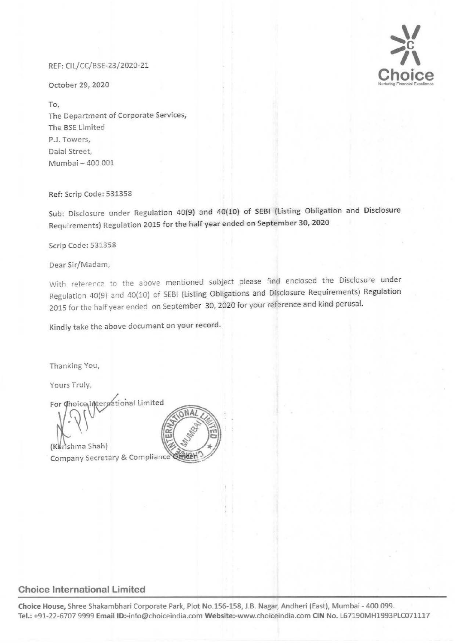## REF: CIL/CC/BSE-23/2020-21

October 29, 2020

To, The Department of Corporate Services, The BSE limited P.J. Towers, Dalal Street, Mumbai- 400 001

### Ref: Scrip Code: 531358

Sub: Disclosure under Regulation 40(9} and 40(10) of SEBI (listing Obligation and Disclosure Requirements) Regulation 2015 for the half year ended on September 30, 2020

Scrip Code: 531358

Dear Sir/Madam,

With reference to the above mentioned subject please find enclosed the Disclosure under Regulation 40(9) and 40(10) of SEBI (Listing Obligations and Disclosure Requirements) Regulation 2015 for the half year ended on September 30, 2020 for your reference and kind perusal.

Kindly take the above document on your record.

Thanking You,

Yours Truly,

For Choice Interprational Limited

(Karishma Shah)

Company Secretary & Compliance Cinicar



# **Choice International Limited**

**Choice House,** Shree Shakambhari Corporate Park, Plot No.156-158, J.B. Nagar, Andheri (East), Mumbai- 400 099. **Tel.:** +91-22-6707 9999 EmaiiiD:-info@choiceindia.com Website:-www.choiceindia.com **CIN** No. L67190MH1993PLC071117